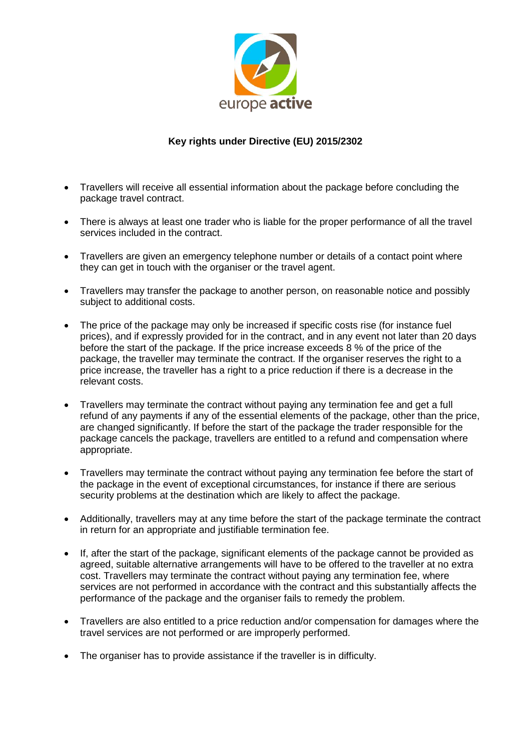

## **Key rights under Directive (EU) 2015/2302**

- Travellers will receive all essential information about the package before concluding the package travel contract.
- There is always at least one trader who is liable for the proper performance of all the travel services included in the contract.
- Travellers are given an emergency telephone number or details of a contact point where they can get in touch with the organiser or the travel agent.
- Travellers may transfer the package to another person, on reasonable notice and possibly subject to additional costs.
- The price of the package may only be increased if specific costs rise (for instance fuel prices), and if expressly provided for in the contract, and in any event not later than 20 days before the start of the package. If the price increase exceeds 8 % of the price of the package, the traveller may terminate the contract. If the organiser reserves the right to a price increase, the traveller has a right to a price reduction if there is a decrease in the relevant costs.
- Travellers may terminate the contract without paying any termination fee and get a full refund of any payments if any of the essential elements of the package, other than the price, are changed significantly. If before the start of the package the trader responsible for the package cancels the package, travellers are entitled to a refund and compensation where appropriate.
- Travellers may terminate the contract without paying any termination fee before the start of the package in the event of exceptional circumstances, for instance if there are serious security problems at the destination which are likely to affect the package.
- Additionally, travellers may at any time before the start of the package terminate the contract in return for an appropriate and justifiable termination fee.
- If, after the start of the package, significant elements of the package cannot be provided as agreed, suitable alternative arrangements will have to be offered to the traveller at no extra cost. Travellers may terminate the contract without paying any termination fee, where services are not performed in accordance with the contract and this substantially affects the performance of the package and the organiser fails to remedy the problem.
- Travellers are also entitled to a price reduction and/or compensation for damages where the travel services are not performed or are improperly performed.
- The organiser has to provide assistance if the traveller is in difficulty.